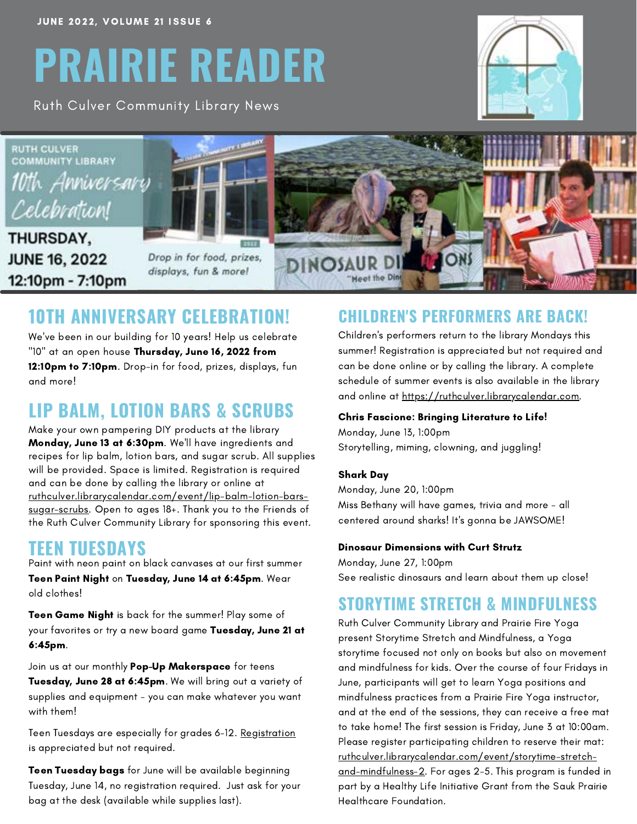# **PRAIRIE READER**

Ruth Culver Community Library News





### **10TH ANNIVERSARY CELEBRATION!**

We've been in our building for 10 years! Help us celebrate "10" at an open house Thursday, June 16, 2022 from 12:10pm to 7:10pm. Drop-in for food, prizes, displays, fun and more!

#### **LIP BALM, LOTION BARS & SCRUBS**

Make your own pampering DIY products at the library Monday, June 13 at 6:30pm. We'll have ingredients and recipes for lip balm, lotion bars, and sugar scrub. All supplies will be provided. Space is limited. Registration is required and can be done by calling the library or online at [ruthculver.librarycalendar.com/event/lip-balm-lotion-bars](https://ruthculver.librarycalendar.com/event/lip-balm-lotion-bars-sugar-scrubs)sugar-scrubs. Open to ages 18+. Thank you to the Friends of the Ruth Culver Community Library for sponsoring this event.

#### **TEEN TUESDAYS**

Paint with neon paint on black canvases at our first summer Teen Paint Night on Tuesday, June 14 at 6:45pm. Wear old clothes!

Teen Game Night is back for the summer! Play some of your favorites or try a new board game Tuesday, June 21 at 6:45pm.

Join us at our monthly Pop-Up Makerspace for teens Tuesday, June 28 at 6:45pm. We will bring out a variety of supplies and equipment - you can make whatever you want with them!

Teen Tuesdays are especially for grades 6-12. [Registration](https://ruthculver.librarycalendar.com/) is appreciated but not required.

**Teen Tuesday bags** for June will be available beginning Tuesday, June 14, no registration required. Just ask for your bag at the desk (available while supplies last).

#### **CHILDREN'S PERFORMERS ARE BACK!**

Children's performers return to the library Mondays this summer! Registration is appreciated but not required and can be done online or by calling the library. A complete schedule of summer events is also available in the library and online at [https://ruthculver.librarycalendar.com](https://ruthculver.librarycalendar.com/).

#### Chris Fascione: Bringing Literature to Life!

Monday, June 13, 1:00pm Storytelling, miming, clowning, and juggling!

#### Shark Day

Monday, June 20, 1:00pm Miss Bethany will have games, trivia and more - all centered around sharks! It's gonna be JAWSOME!

#### Dinosaur Dimensions with Curt Strutz

Monday, June 27, 1:00pm See realistic dinosaurs and learn about them up close!

#### **STORYTIME STRETCH & MINDFULNESS**

Ruth Culver Community Library and Prairie Fire Yoga present Storytime Stretch and Mindfulness, a Yoga storytime focused not only on books but also on movement and mindfulness for kids. Over the course of four Fridays in June, participants will get to learn Yoga positions and mindfulness practices from a Prairie Fire Yoga instructor, and at the end of the sessions, they can receive a free mat to take home! The first session is Friday, June 3 at 10:00am. Please register participating children to reserve their mat: [ruthculver.librarycalendar.com/event/storytime-stretch](https://ruthculver.librarycalendar.com/event/storytime-stretch-and-mindfulness-2)and-mindfulness-2. For ages 2-5. This program is funded in part by a Healthy Life Initiative Grant from the Sauk Prairie Healthcare Foundation.